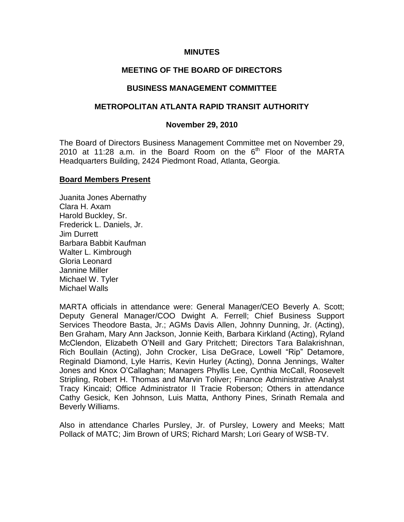### **MINUTES**

## **MEETING OF THE BOARD OF DIRECTORS**

#### **BUSINESS MANAGEMENT COMMITTEE**

#### **METROPOLITAN ATLANTA RAPID TRANSIT AUTHORITY**

#### **November 29, 2010**

The Board of Directors Business Management Committee met on November 29, 2010 at 11:28 a.m. in the Board Room on the  $6<sup>th</sup>$  Floor of the MARTA Headquarters Building, 2424 Piedmont Road, Atlanta, Georgia.

#### **Board Members Present**

Juanita Jones Abernathy Clara H. Axam Harold Buckley, Sr. Frederick L. Daniels, Jr. Jim Durrett Barbara Babbit Kaufman Walter L. Kimbrough Gloria Leonard Jannine Miller Michael W. Tyler Michael Walls

MARTA officials in attendance were: General Manager/CEO Beverly A. Scott; Deputy General Manager/COO Dwight A. Ferrell; Chief Business Support Services Theodore Basta, Jr.; AGMs Davis Allen, Johnny Dunning, Jr. (Acting), Ben Graham, Mary Ann Jackson, Jonnie Keith, Barbara Kirkland (Acting), Ryland McClendon, Elizabeth O'Neill and Gary Pritchett; Directors Tara Balakrishnan, Rich Boullain (Acting), John Crocker, Lisa DeGrace, Lowell "Rip" Detamore, Reginald Diamond, Lyle Harris, Kevin Hurley (Acting), Donna Jennings, Walter Jones and Knox O'Callaghan; Managers Phyllis Lee, Cynthia McCall, Roosevelt Stripling, Robert H. Thomas and Marvin Toliver; Finance Administrative Analyst Tracy Kincaid; Office Administrator II Tracie Roberson; Others in attendance Cathy Gesick, Ken Johnson, Luis Matta, Anthony Pines, Srinath Remala and Beverly Williams.

Also in attendance Charles Pursley, Jr. of Pursley, Lowery and Meeks; Matt Pollack of MATC; Jim Brown of URS; Richard Marsh; Lori Geary of WSB-TV.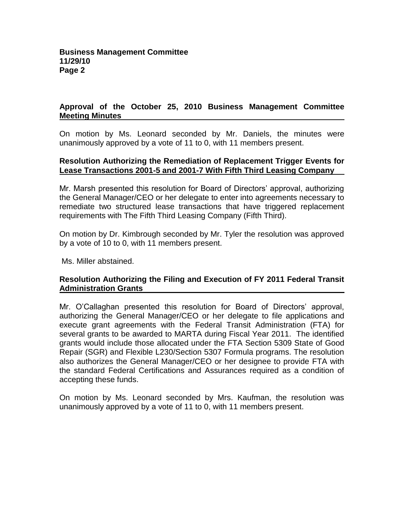# **Approval of the October 25, 2010 Business Management Committee Meeting Minutes**

On motion by Ms. Leonard seconded by Mr. Daniels, the minutes were unanimously approved by a vote of 11 to 0, with 11 members present.

### **Resolution Authorizing the Remediation of Replacement Trigger Events for Lease Transactions 2001-5 and 2001-7 With Fifth Third Leasing Company**

Mr. Marsh presented this resolution for Board of Directors' approval, authorizing the General Manager/CEO or her delegate to enter into agreements necessary to remediate two structured lease transactions that have triggered replacement requirements with The Fifth Third Leasing Company (Fifth Third).

On motion by Dr. Kimbrough seconded by Mr. Tyler the resolution was approved by a vote of 10 to 0, with 11 members present.

Ms. Miller abstained.

## **Resolution Authorizing the Filing and Execution of FY 2011 Federal Transit Administration Grants**

Mr. O'Callaghan presented this resolution for Board of Directors' approval, authorizing the General Manager/CEO or her delegate to file applications and execute grant agreements with the Federal Transit Administration (FTA) for several grants to be awarded to MARTA during Fiscal Year 2011. The identified grants would include those allocated under the FTA Section 5309 State of Good Repair (SGR) and Flexible L230/Section 5307 Formula programs. The resolution also authorizes the General Manager/CEO or her designee to provide FTA with the standard Federal Certifications and Assurances required as a condition of accepting these funds.

On motion by Ms. Leonard seconded by Mrs. Kaufman, the resolution was unanimously approved by a vote of 11 to 0, with 11 members present.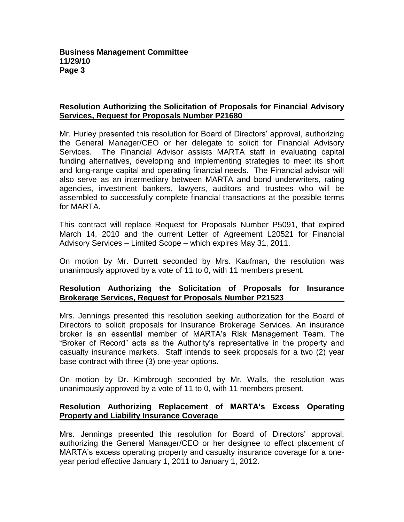## **Resolution Authorizing the Solicitation of Proposals for Financial Advisory Services, Request for Proposals Number P21680**

Mr. Hurley presented this resolution for Board of Directors' approval, authorizing the General Manager/CEO or her delegate to solicit for Financial Advisory Services. The Financial Advisor assists MARTA staff in evaluating capital funding alternatives, developing and implementing strategies to meet its short and long-range capital and operating financial needs. The Financial advisor will also serve as an intermediary between MARTA and bond underwriters, rating agencies, investment bankers, lawyers, auditors and trustees who will be assembled to successfully complete financial transactions at the possible terms for MARTA.

This contract will replace Request for Proposals Number P5091, that expired March 14, 2010 and the current Letter of Agreement L20521 for Financial Advisory Services – Limited Scope – which expires May 31, 2011.

On motion by Mr. Durrett seconded by Mrs. Kaufman, the resolution was unanimously approved by a vote of 11 to 0, with 11 members present.

## **Resolution Authorizing the Solicitation of Proposals for Insurance Brokerage Services, Request for Proposals Number P21523**

Mrs. Jennings presented this resolution seeking authorization for the Board of Directors to solicit proposals for Insurance Brokerage Services. An insurance broker is an essential member of MARTA's Risk Management Team. The "Broker of Record" acts as the Authority's representative in the property and casualty insurance markets. Staff intends to seek proposals for a two (2) year base contract with three (3) one-year options.

On motion by Dr. Kimbrough seconded by Mr. Walls, the resolution was unanimously approved by a vote of 11 to 0, with 11 members present.

# **Resolution Authorizing Replacement of MARTA's Excess Operating Property and Liability Insurance Coverage**

Mrs. Jennings presented this resolution for Board of Directors' approval, authorizing the General Manager/CEO or her designee to effect placement of MARTA's excess operating property and casualty insurance coverage for a oneyear period effective January 1, 2011 to January 1, 2012.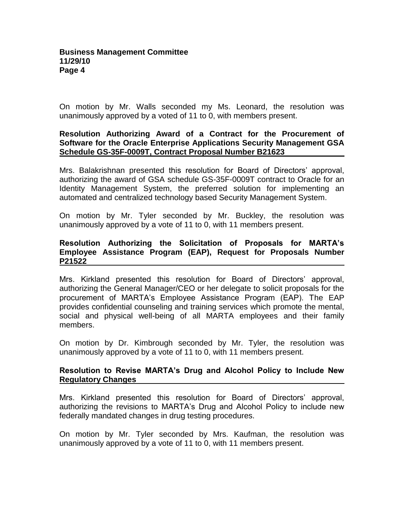On motion by Mr. Walls seconded my Ms. Leonard, the resolution was unanimously approved by a voted of 11 to 0, with members present.

### **Resolution Authorizing Award of a Contract for the Procurement of Software for the Oracle Enterprise Applications Security Management GSA Schedule GS-35F-0009T, Contract Proposal Number B21623**

Mrs. Balakrishnan presented this resolution for Board of Directors' approval, authorizing the award of GSA schedule GS-35F-0009T contract to Oracle for an Identity Management System, the preferred solution for implementing an automated and centralized technology based Security Management System.

On motion by Mr. Tyler seconded by Mr. Buckley, the resolution was unanimously approved by a vote of 11 to 0, with 11 members present.

# **Resolution Authorizing the Solicitation of Proposals for MARTA's Employee Assistance Program (EAP), Request for Proposals Number P21522**

Mrs. Kirkland presented this resolution for Board of Directors' approval, authorizing the General Manager/CEO or her delegate to solicit proposals for the procurement of MARTA's Employee Assistance Program (EAP). The EAP provides confidential counseling and training services which promote the mental, social and physical well-being of all MARTA employees and their family members.

On motion by Dr. Kimbrough seconded by Mr. Tyler, the resolution was unanimously approved by a vote of 11 to 0, with 11 members present.

## **Resolution to Revise MARTA's Drug and Alcohol Policy to Include New Regulatory Changes**

Mrs. Kirkland presented this resolution for Board of Directors' approval, authorizing the revisions to MARTA's Drug and Alcohol Policy to include new federally mandated changes in drug testing procedures.

On motion by Mr. Tyler seconded by Mrs. Kaufman, the resolution was unanimously approved by a vote of 11 to 0, with 11 members present.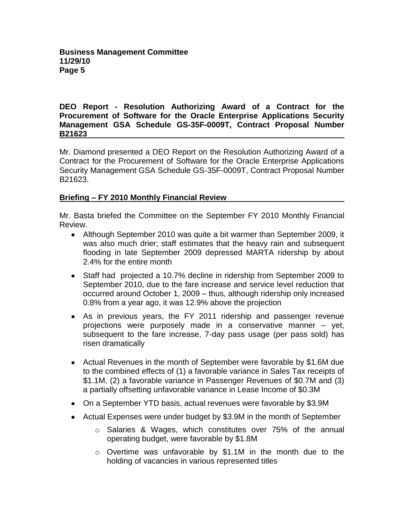### **DEO Report - Resolution Authorizing Award of a Contract for the Procurement of Software for the Oracle Enterprise Applications Security Management GSA Schedule GS-35F-0009T, Contract Proposal Number B21623**

Mr. Diamond presented a DEO Report on the Resolution Authorizing Award of a Contract for the Procurement of Software for the Oracle Enterprise Applications Security Management GSA Schedule GS-35F-0009T, Contract Proposal Number B21623.

# **Briefing – FY 2010 Monthly Financial Review**

Mr. Basta briefed the Committee on the September FY 2010 Monthly Financial Review.

- Although September 2010 was quite a bit warmer than September 2009, it was also much drier; staff estimates that the heavy rain and subsequent flooding in late September 2009 depressed MARTA ridership by about 2.4% for the entire month
- Staff had projected a 10.7% decline in ridership from September 2009 to September 2010, due to the fare increase and service level reduction that occurred around October 1, 2009 – thus, although ridership only increased 0.8% from a year ago, it was 12.9% above the projection
- As in previous years, the FY 2011 ridership and passenger revenue projections were purposely made in a conservative manner – yet, subsequent to the fare increase, 7-day pass usage (per pass sold) has risen dramatically
- Actual Revenues in the month of September were favorable by \$1.6M due to the combined effects of (1) a favorable variance in Sales Tax receipts of \$1.1M, (2) a favorable variance in Passenger Revenues of \$0.7M and (3) a partially offsetting unfavorable variance in Lease Income of \$0.3M
- On a September YTD basis, actual revenues were favorable by \$3.9M
- Actual Expenses were under budget by \$3.9M in the month of September
	- $\circ$  Salaries & Wages, which constitutes over 75% of the annual operating budget, were favorable by \$1.8M
	- $\circ$  Overtime was unfavorable by \$1.1M in the month due to the holding of vacancies in various represented titles